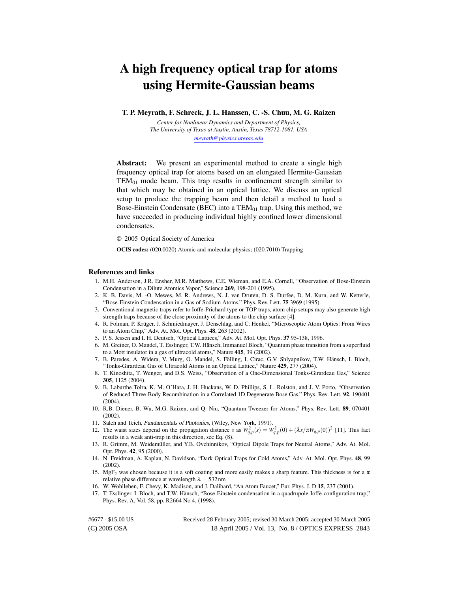# A high frequency optical trap for atoms using Hermite-Gaussian beams

T. P. Meyrath, F. Schreck, J. L. Hanssen, C. -S. Chuu, M. G. Raizen

*Center for Nonlinear Dynamics and Department of Physics, The University of Texas at Austin, Austin, Texas 78712-1081, USA [meyrath@physics.utexas.edu](mailto:meyrath@physics.utexas.edu)*

Abstract: We present an experimental method to create a single high frequency optical trap for atoms based on an elongated Hermite-Gaussian  $TEM_{01}$  mode beam. This trap results in confinement strength similar to that which may be obtained in an optical lattice. We discuss an optical setup to produce the trapping beam and then detail a method to load a Bose-Einstein Condensate (BEC) into a  $TEM_{01}$  trap. Using this method, we have succeeded in producing individual highly confined lower dimensional condensates.

© 2005 Optical Society of America

OCIS codes: (020.0020) Atomic and molecular physics; (020.7010) Trapping

#### References and links

- 1. M.H. Anderson, J.R. Ensher, M.R. Matthews, C.E. Wieman, and E.A. Cornell, "Observation of Bose-Einstein Condensation in a Dilute Atomics Vapor," Science 269, 198-201 (1995).
- 2. K. B. Davis, M. -O. Mewes, M. R. Andrews, N. J. van Druten, D. S. Durfee, D. M. Kurn, and W. Ketterle, "Bose-Einstein Condensation in a Gas of Sodium Atoms," Phys. Rev. Lett. 75 3969 (1995).
- 3. Conventional magnetic traps refer to Ioffe-Prichard type or TOP traps, atom chip setups may also generate high strength traps because of the close proximity of the atoms to the chip surface [4].
- 4. R. Folman, P. Krüger, J. Schmiedmayer, J. Denschlag, and C. Henkel, "Microscoptic Atom Optics: From Wires to an Atom Chip," Adv. At. Mol. Opt. Phys. 48, 263 (2002).
- 5. P. S. Jessen and I. H. Deutsch, "Optical Lattices," Adv. At. Mol. Opt. Phys. 37 95-138, 1996.
- 6. M. Greiner, O. Mandel, T. Esslinger, T.W. Hansch, Immanuel Bloch, "Quantum phase transition from a superfluid ¨ to a Mott insulator in a gas of ultracold atoms," Nature 415, 39 (2002).
- 7. B. Paredes, A. Widera, V. Murg, O. Mandel, S. Fölling, I. Cirac, G.V. Shlyapnikov, T.W. Hänsch, I. Bloch, "Tonks-Girardeau Gas of Ultracold Atoms in an Optical Lattice," Nature 429, 277 (2004).
- 8. T. Kinoshita, T. Wenger, and D.S. Weiss, "Observation of a One-Dimensional Tonks-Girardeau Gas," Science 305, 1125 (2004).
- 9. B. Laburthe Tolra, K. M. O'Hara, J. H. Huckans, W. D. Phillips, S. L. Rolston, and J. V. Porto, "Observation of Reduced Three-Body Recombination in a Correlated 1D Degenerate Bose Gas," Phys. Rev. Lett. 92, 190401  $(2004)$ .
- 10. R.B. Diener, B. Wu, M.G. Raizen, and Q. Niu, "Quantum Tweezer for Atoms," Phys. Rev. Lett. 89, 070401 (2002).
- 11. Saleh and Teich, Fundamentals of Photonics, (Wiley, New York, 1991).
- 12. The waist sizes depend on the propagation distance *s* as  $W_{q,p}^2(s) = W_{q,p}^2(0) + (\lambda s/\pi W_{q,p}(0))^2$  [11]. This fact results in a weak anti-trap in this direction, see Eq. (8).
- 13. R. Grimm, M. Weidemüller, and Y.B. Ovchinnikov, "Optical Dipole Traps for Neutral Atoms," Adv. At. Mol. Opt. Phys. 42, 95 (2000).
- 14. N. Freidman, A. Kaplan, N. Davidson, "Dark Optical Traps for Cold Atoms," Adv. At. Mol. Opt. Phys. 48, 99 (2002).
- 15. MgF<sub>2</sub> was chosen because it is a soft coating and more easily makes a sharp feature. This thickness is for a  $\pi$ relative phase difference at wavelength  $\lambda = 532$  nm
- 16. W. Wohlleben, F. Chevy, K. Madison, and J. Dalibard, "An Atom Faucet," Eur. Phys. J. D 15, 237 (2001).
- 17. T. Esslinger, I. Bloch, and T.W. Hansch, "Bose-Einstein condensation in a quadrupole-Ioffe-configuration trap," ¨ Phys. Rev. A, Vol. 58, pp. R2664 No 4, (1998).

(C) 2005 OSA 18 April 2005 / Vol. 13, No. 8 / OPTICS EXPRESS 2843 #6677 - \$15.00 US Received 28 February 2005; revised 30 March 2005; accepted 30 March 2005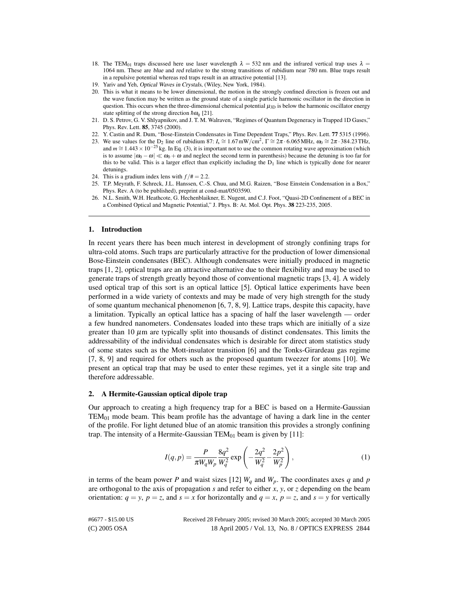- 18. The TEM<sub>01</sub> traps discussed here use laser wavelength  $\lambda = 532$  nm and the infrared vertical trap uses  $\lambda =$ 1064 nm. These are blue and red relative to the strong transitions of rubidium near 780 nm. Blue traps result in a repulsive potential whereas red traps result in an attractive potential [13].
- 19. Yariv and Yeh, Optical Waves in Crystals, (Wiley, New York, 1984).
- 20. This is what it means to be lower dimensional, the motion in the strongly confined direction is frozen out and the wave function may be written as the ground state of a single particle harmonic oscillator in the direction in question. This occurs when the three-dimensional chemical potential  $\mu_{3D}$  is below the harmonic oscillator energy state splitting of the strong direction  $\hbar \omega_a$  [21].
- 21. D. S. Petrov, G. V. Shlyapnikov, and J. T. M. Walraven, "Regimes of Quantum Degeneracy in Trapped 1D Gases," Phys. Rev. Lett. 85, 3745 (2000).
- 22. Y. Castin and R. Dum, "Bose-Einstein Condensates in Time Dependent Traps," Phys. Rev. Lett. 77 5315 (1996).
- 23. We use values for the D<sub>2</sub> line of rubidium 87:  $I_s \approx 1.67 \text{ mW/cm}^2$ ,  $\Gamma \approx 2\pi \cdot 6.065 \text{ MHz}$ ,  $\omega_0 \approx 2\pi \cdot 384.23 \text{ THz}$ , and  $m \approx 1.443 \times 10^{-25}$  kg. In Eq. (3), it is important not to use the common rotating wave approximation (which is to assume  $|\omega_0 - \omega| \ll \omega_0 + \omega$  and neglect the second term in parenthesis) because the detuning is too far for this to be valid. This is a larger effect than explicitly including the  $D_1$  line which is typically done for nearer detunings.
- 24. This is a gradium index lens with  $f/\neq$  = 2.2.
- 25. T.P. Meyrath, F. Schreck, J.L. Hanssen, C.-S. Chuu, and M.G. Raizen, "Bose Einstein Condensation in a Box," Phys. Rev. A (to be published), preprint at cond-mat/0503590.
- 26. N.L. Smith, W.H. Heathcote, G. Hechenblaikner, E. Nugent, and C.J. Foot, "Quasi-2D Confinement of a BEC in a Combined Optical and Magnetic Potential," J. Phys. B: At. Mol. Opt. Phys. 38 223-235, 2005.

#### 1. Introduction

In recent years there has been much interest in development of strongly confining traps for ultra-cold atoms. Such traps are particularly attractive for the production of lower dimensional Bose-Einstein condensates (BEC). Although condensates were initially produced in magnetic traps [1, 2], optical traps are an attractive alternative due to their flexibility and may be used to generate traps of strength greatly beyond those of conventional magnetic traps [3, 4]. A widely used optical trap of this sort is an optical lattice [5]. Optical lattice experiments have been performed in a wide variety of contexts and may be made of very high strength for the study of some quantum mechanical phenomenon [6, 7, 8, 9]. Lattice traps, despite this capacity, have a limitation. Typically an optical lattice has a spacing of half the laser wavelength — order a few hundred nanometers. Condensates loaded into these traps which are initially of a size greater than  $10 \mu m$  are typically split into thousands of distinct condensates. This limits the addressability of the individual condensates which is desirable for direct atom statistics study of some states such as the Mott-insulator transition [6] and the Tonks-Girardeau gas regime [7, 8, 9] and required for others such as the proposed quantum tweezer for atoms [10]. We present an optical trap that may be used to enter these regimes, yet it a single site trap and therefore addressable.

#### 2. A Hermite-Gaussian optical dipole trap

Our approach to creating a high frequency trap for a BEC is based on a Hermite-Gaussian  $TEM_{01}$  mode beam. This beam profile has the advantage of having a dark line in the center of the profile. For light detuned blue of an atomic transition this provides a strongly confining trap. The intensity of a Hermite-Gaussian  $TEM_{01}$  beam is given by [11]:

$$
I(q, p) = \frac{P}{\pi W_q W_p} \frac{8q^2}{W_q^2} \exp\left(-\frac{2q^2}{W_q^2} - \frac{2p^2}{W_p^2}\right),\tag{1}
$$

in terms of the beam power *P* and waist sizes [12]  $W_q$  and  $W_p$ . The coordinates axes *q* and *p* are orthogonal to the axis of propagation *s* and refer to either *x*, *y*, or *z* depending on the beam orientation:  $q = y$ ,  $p = z$ , and  $s = x$  for horizontally and  $q = x$ ,  $p = z$ , and  $s = y$  for vertically

(C) 2005 OSA 18 April 2005 / Vol. 13, No. 8 / OPTICS EXPRESS 2844 #6677 - \$15.00 US Received 28 February 2005; revised 30 March 2005; accepted 30 March 2005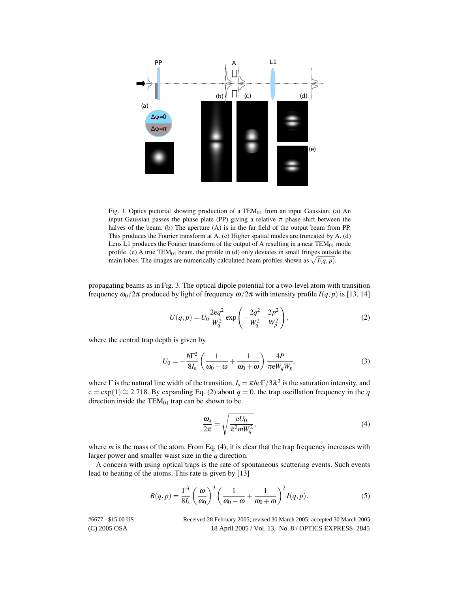

Fig. 1. Optics pictorial showing production of a  $TEM_{01}$  from an input Gaussian. (a) An input Gaussian passes the phase plate (PP) giving a relative  $\pi$  phase shift between the halves of the beam. (b) The aperture (A) is in the far field of the output beam from PP. This produces the Fourier transform at A. (c) Higher spatial modes are truncated by A. (d) Lens L1 produces the Fourier transform of the output of A resulting in a near  $TEM_{01}$  mode profile. (e) A true  $TEM_{01}$  beam, the profile in (d) only deviates in small fringes outside the main lobes. The images are numerically calculated beam profiles shown as  $\sqrt{I(q,p)}$ .

propagating beams as in Fig. 3. The optical dipole potential for a two-level atom with transition frequency  $\omega_0/2\pi$  produced by light of frequency  $\omega/2\pi$  with intensity profile  $I(q, p)$  is [13, 14]

$$
U(q, p) = U_0 \frac{2eq^2}{W_q^2} \exp\left(-\frac{2q^2}{W_q^2} - \frac{2p^2}{W_p^2}\right),\tag{2}
$$

where the central trap depth is given by

$$
U_0 = -\frac{\hbar \Gamma^2}{8I_s} \left( \frac{1}{\omega_0 - \omega} + \frac{1}{\omega_0 + \omega} \right) \frac{4P}{\pi e W_q W_p},
$$
\n(3)

where  $\Gamma$  is the natural line width of the transition,  $I_s = \pi h c \Gamma / 3 \lambda^3$  is the saturation intensity, and  $e = exp(1) \approx 2.718$ . By expanding Eq. (2) about  $q = 0$ , the trap oscillation frequency in the *q* direction inside the  $TEM_{01}$  trap can be shown to be

$$
\frac{\omega_q}{2\pi} = \sqrt{\frac{eU_0}{\pi^2 m W_q^2}},\tag{4}
$$

where  $m$  is the mass of the atom. From Eq.  $(4)$ , it is clear that the trap frequency increases with larger power and smaller waist size in the *q* direction.

A concern with using optical traps is the rate of spontaneous scattering events. Such events lead to heating of the atoms. This rate is given by [13]

$$
R(q,p) = \frac{\Gamma^3}{8I_s} \left(\frac{\omega}{\omega_0}\right)^3 \left(\frac{1}{\omega_0 - \omega} + \frac{1}{\omega_0 + \omega}\right)^2 I(q,p).
$$
 (5)

(C) 2005 OSA 18 April 2005 / Vol. 13, No. 8 / OPTICS EXPRESS 2845 #6677 - \$15.00 US Received 28 February 2005; revised 30 March 2005; accepted 30 March 2005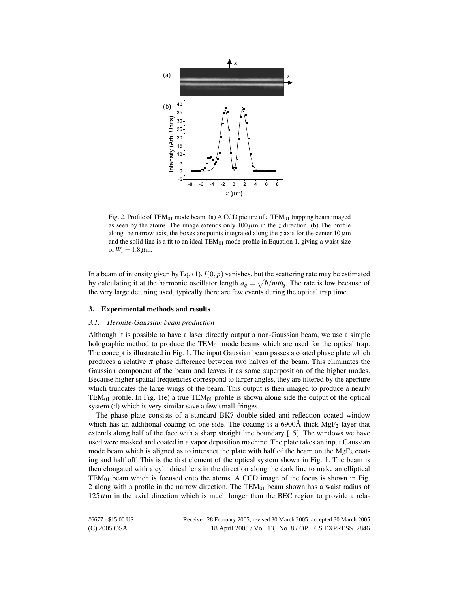

Fig. 2. Profile of TEM<sub>01</sub> mode beam. (a) A CCD picture of a TEM<sub>01</sub> trapping beam imaged as seen by the atoms. The image extends only  $100 \mu m$  in the *z* direction. (b) The profile along the narrow axis, the boxes are points integrated along the *z* axis for the center  $10 \mu m$ and the solid line is a fit to an ideal TEM $_{01}$  mode profile in Equation 1, giving a waist size of  $W_x = 1.8 \,\mu \text{m}$ .

In a beam of intensity given by Eq.  $(1)$ ,  $I(0, p)$  vanishes, but the scattering rate may be estimated by calculating it at the harmonic oscillator length  $a_q = \sqrt{\hbar/m\omega_q}$ . The rate is low because of the very large detuning used, typically there are few events during the optical trap time.

#### 3. Experimental methods and results

#### *3.1. Hermite-Gaussian beam production*

Although it is possible to have a laser directly output a non-Gaussian beam, we use a simple holographic method to produce the  $TEM_{01}$  mode beams which are used for the optical trap. The concept is illustrated in Fig. 1. The input Gaussian beam passes a coated phase plate which produces a relative  $\pi$  phase difference between two halves of the beam. This eliminates the Gaussian component of the beam and leaves it as some superposition of the higher modes. Because higher spatial frequencies correspond to larger angles, they are filtered by the aperture which truncates the large wings of the beam. This output is then imaged to produce a nearly TEM<sub>01</sub> profile. In Fig. 1(e) a true TEM<sub>01</sub> profile is shown along side the output of the optical system (d) which is very similar save a few small fringes.

The phase plate consists of a standard BK7 double-sided anti-reflection coated window which has an additional coating on one side. The coating is a  $6900\text{\AA}$  thick MgF<sub>2</sub> layer that extends along half of the face with a sharp straight line boundary [15]. The windows we have used were masked and coated in a vapor deposition machine. The plate takes an input Gaussian mode beam which is aligned as to intersect the plate with half of the beam on the  $MgF_2$  coating and half off. This is the first element of the optical system shown in Fig. 1. The beam is then elongated with a cylindrical lens in the direction along the dark line to make an elliptical  $TEM_{01}$  beam which is focused onto the atoms. A CCD image of the focus is shown in Fig. 2 along with a profile in the narrow direction. The  $TEM_{01}$  beam shown has a waist radius of  $125 \mu m$  in the axial direction which is much longer than the BEC region to provide a rela-

(C) 2005 OSA 18 April 2005 / Vol. 13, No. 8 / OPTICS EXPRESS 2846 #6677 - \$15.00 US Received 28 February 2005; revised 30 March 2005; accepted 30 March 2005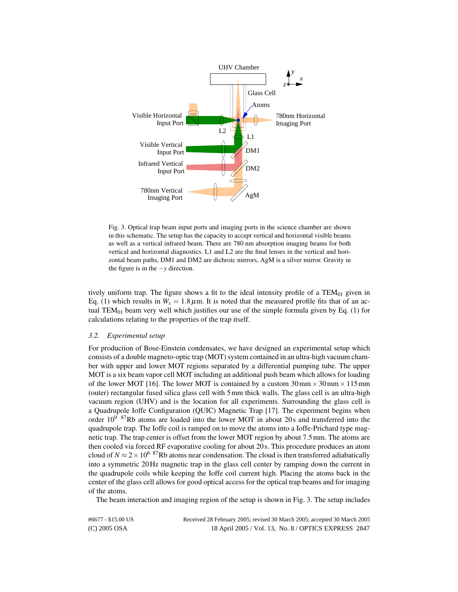

Fig. 3. Optical trap beam input ports and imaging ports in the science chamber are shown in this schematic. The setup has the capacity to accept vertical and horizontal visible beams as well as a vertical infrared beam. There are 780 nm absorption imaging beams for both vertical and horizontal diagnostics. L1 and L2 are the final lenses in the vertical and horizontal beam paths, DM1 and DM2 are dichroic mirrors, AgM is a silver mirror. Gravity in the figure is in the −*y* direction.

tively uniform trap. The figure shows a fit to the ideal intensity profile of a  $TEM_{01}$  given in Eq. (1) which results in  $W_x = 1.8 \,\mu \text{m}$ . It is noted that the measured profile fits that of an actual TEM $_{01}$  beam very well which justifies our use of the simple formula given by Eq. (1) for calculations relating to the properties of the trap itself.

## *3.2. Experimental setup*

For production of Bose-Einstein condensates, we have designed an experimental setup which consists of a double magneto-optic trap (MOT) system contained in an ultra-high vacuum chamber with upper and lower MOT regions separated by a differential pumping tube. The upper MOT is a six beam vapor cell MOT including an additional push beam which allows for loading of the lower MOT [16]. The lower MOT is contained by a custom  $30 \text{ mm} \times 30 \text{ mm} \times 115 \text{ mm}$ (outer) rectangular fused silica glass cell with 5mm thick walls. The glass cell is an ultra-high vacuum region (UHV) and is the location for all experiments. Surrounding the glass cell is a Quadrupole Ioffe Configuration (QUIC) Magnetic Trap [17]. The experiment begins when order  $10^9$  <sup>87</sup>Rb atoms are loaded into the lower MOT in about 20s and transferred into the quadrupole trap. The Ioffe coil is ramped on to move the atoms into a Ioffe-Prichard type magnetic trap. The trap center is offset from the lower MOT region by about 7.5mm. The atoms are then cooled via forced RF evaporative cooling for about 20 s. This procedure produces an atom cloud of  $N \approx 2 \times 10^{6}$  <sup>87</sup>Rb atoms near condensation. The cloud is then transferred adiabatically into a symmetric 20Hz magnetic trap in the glass cell center by ramping down the current in the quadrupole coils while keeping the Ioffe coil current high. Placing the atoms back in the center of the glass cell allows for good optical access for the optical trap beams and for imaging of the atoms.

The beam interaction and imaging region of the setup is shown in Fig. 3. The setup includes

(C) 2005 OSA 18 April 2005 / Vol. 13, No. 8 / OPTICS EXPRESS 2847 #6677 - \$15.00 US Received 28 February 2005; revised 30 March 2005; accepted 30 March 2005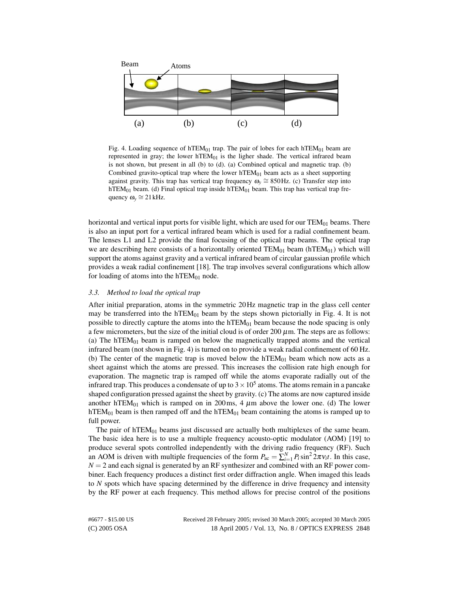

Fig. 4. Loading sequence of hTEM $_{01}$  trap. The pair of lobes for each hTEM $_{01}$  beam are represented in gray; the lower  $hTEM_{01}$  is the ligher shade. The vertical infrared beam is not shown, but present in all (b) to (d). (a) Combined optical and magnetic trap. (b) Combined gravito-optical trap where the lower  $hTEM_{01}$  beam acts as a sheet supporting against gravity. This trap has vertical trap frequency  $\omega_y \cong 850$  Hz. (c) Transfer step into hTEM<sub>01</sub> beam. (d) Final optical trap inside hTEM<sub>01</sub> beam. This trap has vertical trap frequency  $\omega_y \cong 21 \text{ kHz}$ .

horizontal and vertical input ports for visible light, which are used for our  $TEM_{01}$  beams. There is also an input port for a vertical infrared beam which is used for a radial confinement beam. The lenses L1 and L2 provide the final focusing of the optical trap beams. The optical trap we are describing here consists of a horizontally oriented  $TEM_{01}$  beam (hTEM<sub>01</sub>) which will support the atoms against gravity and a vertical infrared beam of circular gaussian profile which provides a weak radial confinement [18]. The trap involves several configurations which allow for loading of atoms into the  $hTEM_{01}$  node.

# *3.3. Method to load the optical trap*

After initial preparation, atoms in the symmetric 20Hz magnetic trap in the glass cell center may be transferred into the hTEM $_{01}$  beam by the steps shown pictorially in Fig. 4. It is not possible to directly capture the atoms into the  $hTEM_{01}$  beam because the node spacing is only a few micrometers, but the size of the initial cloud is of order 200  $\mu$ m. The steps are as follows: (a) The hTEM $_{01}$  beam is ramped on below the magnetically trapped atoms and the vertical infrared beam (not shown in Fig. 4) is turned on to provide a weak radial confinement of 60 Hz. (b) The center of the magnetic trap is moved below the  $hTEM_{01}$  beam which now acts as a sheet against which the atoms are pressed. This increases the collision rate high enough for evaporation. The magnetic trap is ramped off while the atoms evaporate radially out of the infrared trap. This produces a condensate of up to  $3 \times 10^5$  atoms. The atoms remain in a pancake shaped configuration pressed against the sheet by gravity. (c) The atoms are now captured inside another hTEM<sub>01</sub> which is ramped on in 200ms, 4  $\mu$ m above the lower one. (d) The lower hTEM<sub>01</sub> beam is then ramped off and the hTEM<sub>01</sub> beam containing the atoms is ramped up to full power.

The pair of  $hTEM_{01}$  beams just discussed are actually both multiplexes of the same beam. The basic idea here is to use a multiple frequency acousto-optic modulator (AOM) [19] to produce several spots controlled independently with the driving radio frequency (RF). Such an AOM is driven with multiple frequencies of the form  $P_{ac} = \sum_{i=1}^{N} P_i \sin^2 2\pi v_i t$ . In this case,  $N = 2$  and each signal is generated by an RF synthesizer and combined with an RF power combiner. Each frequency produces a distinct first order diffraction angle. When imaged this leads to *N* spots which have spacing determined by the difference in drive frequency and intensity by the RF power at each frequency. This method allows for precise control of the positions

(C) 2005 OSA 18 April 2005 / Vol. 13, No. 8 / OPTICS EXPRESS 2848 #6677 - \$15.00 US Received 28 February 2005; revised 30 March 2005; accepted 30 March 2005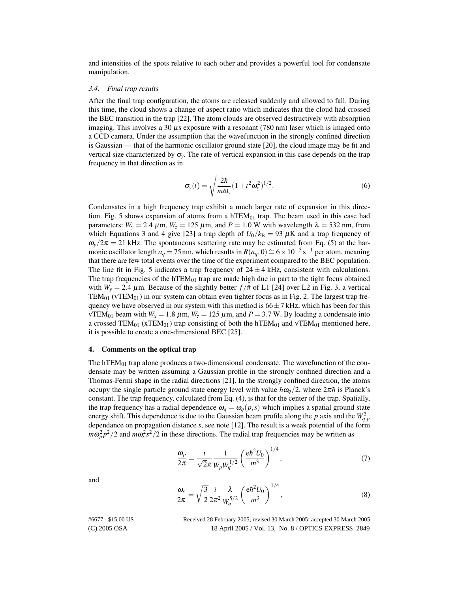and intensities of the spots relative to each other and provides a powerful tool for condensate manipulation.

#### *3.4. Final trap results*

After the final trap configuration, the atoms are released suddenly and allowed to fall. During this time, the cloud shows a change of aspect ratio which indicates that the cloud had crossed the BEC transition in the trap [22]. The atom clouds are observed destructively with absorption imaging. This involves a 30  $\mu$ s exposure with a resonant (780 nm) laser which is imaged onto a CCD camera. Under the assumption that the wavefunction in the strongly confined direction is Gaussian — that of the harmonic oscillator ground state [20], the cloud image may be fit and vertical size characterized by  $\sigma_y$ . The rate of vertical expansion in this case depends on the trap frequency in that direction as in

$$
\sigma_{\mathbf{y}}(t) = \sqrt{\frac{2\hbar}{m\omega_{\mathbf{y}}}} (1 + t^2 \omega_{\mathbf{y}}^2)^{1/2}.
$$
 (6)

Condensates in a high frequency trap exhibit a much larger rate of expansion in this direction. Fig. 5 shows expansion of atoms from a hTEM $_{01}$  trap. The beam used in this case had parameters:  $W_y = 2.4 \ \mu \text{m}$ ,  $W_z = 125 \ \mu \text{m}$ , and  $P = 1.0 \ \text{W}$  with wavelength  $\lambda = 532 \ \text{nm}$ , from which Equations 3 and 4 give [23] a trap depth of  $U_0/k_B = 93 \mu$ K and a trap frequency of  $\omega_y/2\pi = 21$  kHz. The spontaneous scattering rate may be estimated from Eq. (5) at the harmonic oscillator length  $a_q = 75$  nm, which results in  $R(a_q, 0) \approx 6 \times 10^{-3}$  s<sup>-1</sup> per atom, meaning that there are few total events over the time of the experiment compared to the BEC population. The line fit in Fig. 5 indicates a trap frequency of  $24 \pm 4$  kHz, consistent with calculations. The trap frequencies of the hTEM $_{01}$  trap are made high due in part to the tight focus obtained with  $W_y = 2.4 \mu$ m. Because of the slightly better  $f/\text{\#}$  of L1 [24] over L2 in Fig. 3, a vertical TEM<sub>01</sub> (vTEM<sub>01</sub>) in our system can obtain even tighter focus as in Fig. 2. The largest trap frequency we have observed in our system with this method is  $66\pm7$  kHz, which has been for this vTEM<sub>01</sub> beam with  $W_x = 1.8 \mu$ m,  $W_z = 125 \mu$ m, and  $P = 3.7 W$ . By loading a condensate into a crossed TEM<sub>01</sub> (xTEM<sub>01</sub>) trap consisting of both the hTEM<sub>01</sub> and vTEM<sub>01</sub> mentioned here, it is possible to create a one-dimensional BEC [25].

#### 4. Comments on the optical trap

The hTEM $_{01}$  trap alone produces a two-dimensional condensate. The wavefunction of the condensate may be written assuming a Gaussian profile in the strongly confined direction and a Thomas-Fermi shape in the radial directions [21]. In the strongly confined direction, the atoms occupy the single particle ground state energy level with value  $\hbar \omega_q/2$ , where  $2\pi \hbar$  is Planck's constant. The trap frequency, calculated from Eq. (4), is that for the center of the trap. Spatially, the trap frequency has a radial dependence  $\omega_q = \omega_q(p,s)$  which implies a spatial ground state energy shift. This dependence is due to the Gaussian beam profile along the *p* axis and the  $W_{q,p}^2$ dependance on propagation distance *s*, see note [12]. The result is a weak potential of the form  $m\omega_p^2 p^2/2$  and  $m\omega_s^2 s^2/2$  in these directions. The radial trap frequencies may be written as

$$
\frac{\omega_p}{2\pi} = \frac{i}{\sqrt{2}\pi} \frac{1}{W_p W_q^{1/2}} \left(\frac{e\hbar^2 U_0}{m^3}\right)^{1/4},\tag{7}
$$

and

$$
\frac{\omega_s}{2\pi} = \sqrt{\frac{3}{2}} \frac{i}{2\pi^2} \frac{\lambda}{W_0^{5/2}} \left(\frac{e\hbar^2 U_0}{m^3}\right)^{1/4},\tag{8}
$$

(C) 2005 OSA 18 April 2005 / Vol. 13, No. 8 / OPTICS EXPRESS 2849 #6677 - \$15.00 US Received 28 February 2005; revised 30 March 2005; accepted 30 March 2005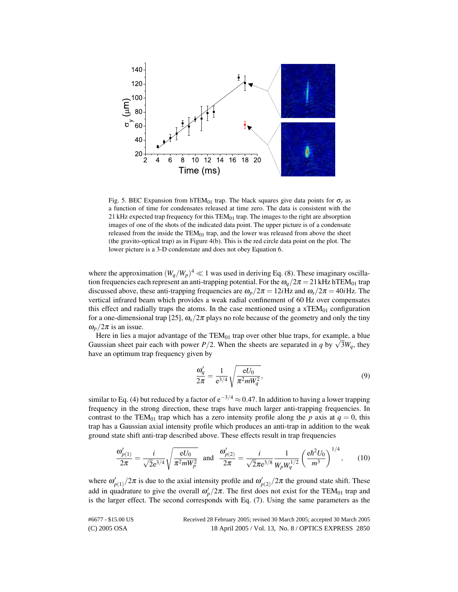

Fig. 5. BEC Expansion from hTEM<sub>01</sub> trap. The black squares give data points for  $\sigma$ <sub>*y*</sub> as a function of time for condensates released at time zero. The data is consistent with the 21 kHz expected trap frequency for this  $TEM_{01}$  trap. The images to the right are absorption images of one of the shots of the indicated data point. The upper picture is of a condensate released from the inside the  $TEM_{01}$  trap, and the lower was released from above the sheet (the gravito-optical trap) as in Figure 4(b). This is the red circle data point on the plot. The lower picture is a 3-D condenstate and does not obey Equation 6.

where the approximation  $(W_q/W_p)^4 \ll 1$  was used in deriving Eq. (8). These imaginary oscillation frequencies each represent an anti-trapping potential. For the  $\omega_q/2\pi = 21$  kHz hTEM<sub>01</sub> trap discussed above, these anti-trapping frequencies are  $\omega_p/2\pi = 12i$  Hz and  $\omega_s/2\pi = 40i$  Hz. The vertical infrared beam which provides a weak radial confinement of 60 Hz over compensates this effect and radially traps the atoms. In the case mentioned using a  $xTEM_{01}$  configuration for a one-dimensional trap [25],  $\omega_s/2\pi$  plays no role because of the geometry and only the tiny  $\omega_p/2\pi$  is an issue.

Here in lies a major advantage of the  $TEM_{01}$  trap over other blue traps, for example, a blue Free in hes a major advantage of the TEM<sub>01</sub> trap over other blue traps, for example, a blue Gaussian sheet pair each with power *P*/2. When the sheets are separated in *q* by  $\sqrt{3}W_q$ , they have an optimum trap frequency given by

$$
\frac{\omega_q'}{2\pi} = \frac{1}{e^{3/4}} \sqrt{\frac{eU_0}{\pi^2 m W_q^2}},\tag{9}
$$

similar to Eq. (4) but reduced by a factor of  $e^{-3/4} \approx 0.47$ . In addition to having a lower trapping frequency in the strong direction, these traps have much larger anti-trapping frequencies. In contrast to the TEM<sub>01</sub> trap which has a zero intensity profile along the *p* axis at  $q = 0$ , this trap has a Gaussian axial intensity profile which produces an anti-trap in addition to the weak ground state shift anti-trap described above. These effects result in trap frequencies

$$
\frac{\omega'_{p(1)}}{2\pi} = \frac{i}{\sqrt{2}e^{3/4}} \sqrt{\frac{eU_0}{\pi^2 m W_p^2}} \text{ and } \frac{\omega'_{p(2)}}{2\pi} = \frac{i}{\sqrt{2}\pi e^{3/8}} \frac{1}{W_p W_q^{1/2}} \left(\frac{e\hbar^2 U_0}{m^3}\right)^{1/4}, \quad (10)
$$

where  $\omega'_{p(1)}/2\pi$  is due to the axial intensity profile and  $\omega'_{p(2)}/2\pi$  the ground state shift. These add in quadrature to give the overall  $\omega_p'/2\pi$ . The first does not exist for the TEM<sub>01</sub> trap and is the larger effect. The second corresponds with Eq. (7). Using the same parameters as the

(C) 2005 OSA 18 April 2005 / Vol. 13, No. 8 / OPTICS EXPRESS 2850 #6677 - \$15.00 US Received 28 February 2005; revised 30 March 2005; accepted 30 March 2005